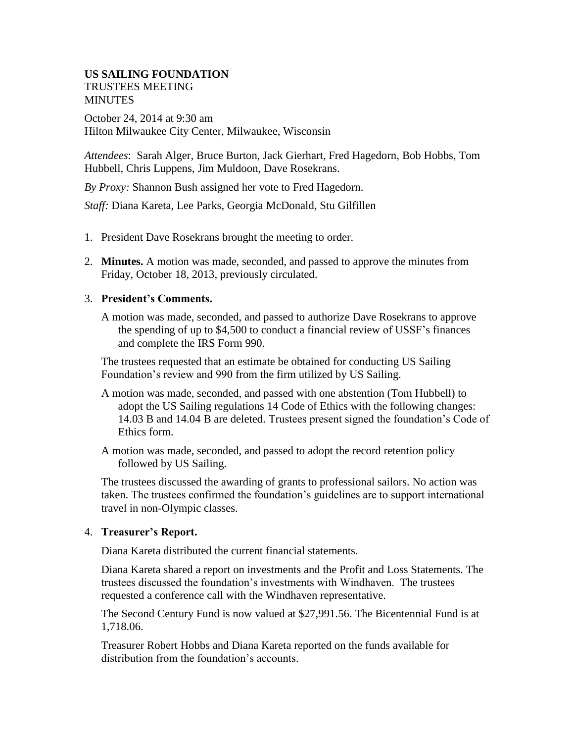### **US SAILING FOUNDATION**  TRUSTEES MEETING **MINUTES**

October 24, 2014 at 9:30 am Hilton Milwaukee City Center, Milwaukee, Wisconsin

*Attendees*: Sarah Alger, Bruce Burton, Jack Gierhart, Fred Hagedorn, Bob Hobbs, Tom Hubbell, Chris Luppens, Jim Muldoon, Dave Rosekrans.

*By Proxy:* Shannon Bush assigned her vote to Fred Hagedorn.

*Staff:* Diana Kareta, Lee Parks, Georgia McDonald, Stu Gilfillen

- 1. President Dave Rosekrans brought the meeting to order.
- 2. **Minutes.** A motion was made, seconded, and passed to approve the minutes from Friday, October 18, 2013, previously circulated.

### 3. **President's Comments.**

A motion was made, seconded, and passed to authorize Dave Rosekrans to approve the spending of up to \$4,500 to conduct a financial review of USSF's finances and complete the IRS Form 990.

The trustees requested that an estimate be obtained for conducting US Sailing Foundation's review and 990 from the firm utilized by US Sailing.

- A motion was made, seconded, and passed with one abstention (Tom Hubbell) to adopt the US Sailing regulations 14 Code of Ethics with the following changes: 14.03 B and 14.04 B are deleted. Trustees present signed the foundation's Code of Ethics form.
- A motion was made, seconded, and passed to adopt the record retention policy followed by US Sailing.

The trustees discussed the awarding of grants to professional sailors. No action was taken. The trustees confirmed the foundation's guidelines are to support international travel in non-Olympic classes.

## 4. **Treasurer's Report.**

Diana Kareta distributed the current financial statements.

Diana Kareta shared a report on investments and the Profit and Loss Statements. The trustees discussed the foundation's investments with Windhaven. The trustees requested a conference call with the Windhaven representative.

The Second Century Fund is now valued at \$27,991.56. The Bicentennial Fund is at 1,718.06.

Treasurer Robert Hobbs and Diana Kareta reported on the funds available for distribution from the foundation's accounts.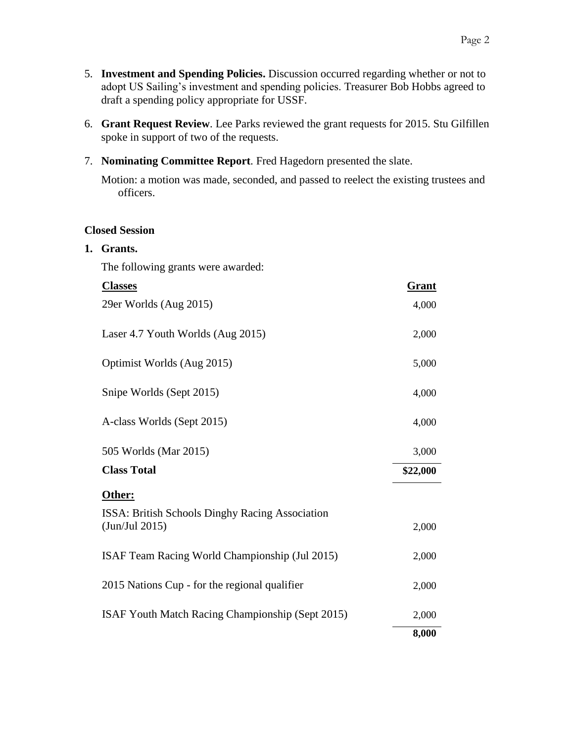- 5. **Investment and Spending Policies.** Discussion occurred regarding whether or not to adopt US Sailing's investment and spending policies. Treasurer Bob Hobbs agreed to draft a spending policy appropriate for USSF.
- 6. **Grant Request Review**. Lee Parks reviewed the grant requests for 2015. Stu Gilfillen spoke in support of two of the requests.
- 7. **Nominating Committee Report**. Fred Hagedorn presented the slate.

Motion: a motion was made, seconded, and passed to reelect the existing trustees and officers.

## **Closed Session**

**1. Grants.**

The following grants were awarded:

| <b>Classes</b>                                                           | <b>Grant</b> |
|--------------------------------------------------------------------------|--------------|
| 29er Worlds (Aug 2015)                                                   | 4,000        |
| Laser 4.7 Youth Worlds (Aug 2015)                                        | 2,000        |
| Optimist Worlds (Aug 2015)                                               | 5,000        |
| Snipe Worlds (Sept 2015)                                                 | 4,000        |
| A-class Worlds (Sept 2015)                                               | 4,000        |
| 505 Worlds (Mar 2015)                                                    | 3,000        |
| <b>Class Total</b>                                                       | \$22,000     |
| Other:                                                                   |              |
| <b>ISSA: British Schools Dinghy Racing Association</b><br>(Jun/Jul 2015) | 2,000        |
| ISAF Team Racing World Championship (Jul 2015)                           | 2,000        |
| 2015 Nations Cup - for the regional qualifier                            | 2,000        |
| ISAF Youth Match Racing Championship (Sept 2015)                         | 2,000        |
|                                                                          | 8,000        |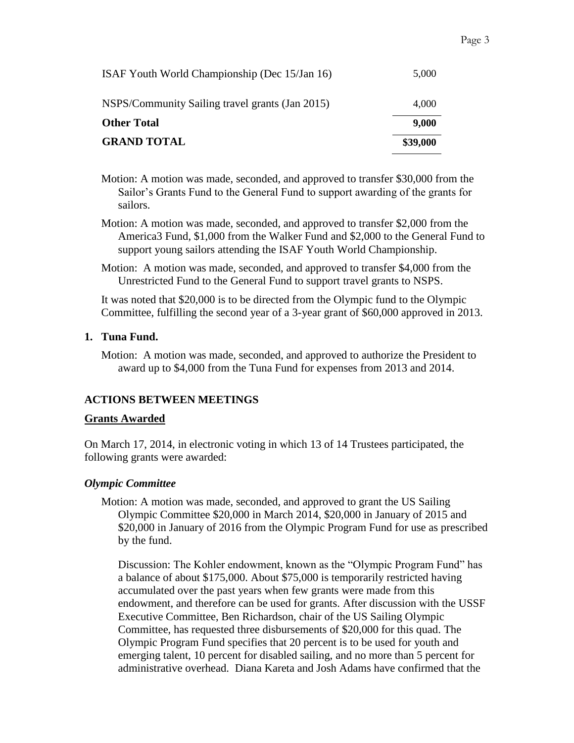| <b>GRAND TOTAL</b>                              | \$39,000 |
|-------------------------------------------------|----------|
| <b>Other Total</b>                              | 9,000    |
| NSPS/Community Sailing travel grants (Jan 2015) | 4,000    |
| ISAF Youth World Championship (Dec 15/Jan 16)   | 5,000    |

Motion: A motion was made, seconded, and approved to transfer \$30,000 from the Sailor's Grants Fund to the General Fund to support awarding of the grants for sailors.

- Motion: A motion was made, seconded, and approved to transfer \$2,000 from the America3 Fund, \$1,000 from the Walker Fund and \$2,000 to the General Fund to support young sailors attending the ISAF Youth World Championship.
- Motion: A motion was made, seconded, and approved to transfer \$4,000 from the Unrestricted Fund to the General Fund to support travel grants to NSPS.

It was noted that \$20,000 is to be directed from the Olympic fund to the Olympic Committee, fulfilling the second year of a 3-year grant of \$60,000 approved in 2013.

### **1. Tuna Fund.**

Motion: A motion was made, seconded, and approved to authorize the President to award up to \$4,000 from the Tuna Fund for expenses from 2013 and 2014.

## **ACTIONS BETWEEN MEETINGS**

### **Grants Awarded**

On March 17, 2014, in electronic voting in which 13 of 14 Trustees participated, the following grants were awarded:

### *Olympic Committee*

Motion: A motion was made, seconded, and approved to grant the US Sailing Olympic Committee \$20,000 in March 2014, \$20,000 in January of 2015 and \$20,000 in January of 2016 from the Olympic Program Fund for use as prescribed by the fund.

Discussion: The Kohler endowment, known as the "Olympic Program Fund" has a balance of about \$175,000. About \$75,000 is temporarily restricted having accumulated over the past years when few grants were made from this endowment, and therefore can be used for grants. After discussion with the USSF Executive Committee, Ben Richardson, chair of the US Sailing Olympic Committee, has requested three disbursements of \$20,000 for this quad. The Olympic Program Fund specifies that 20 percent is to be used for youth and emerging talent, 10 percent for disabled sailing, and no more than 5 percent for administrative overhead. Diana Kareta and Josh Adams have confirmed that the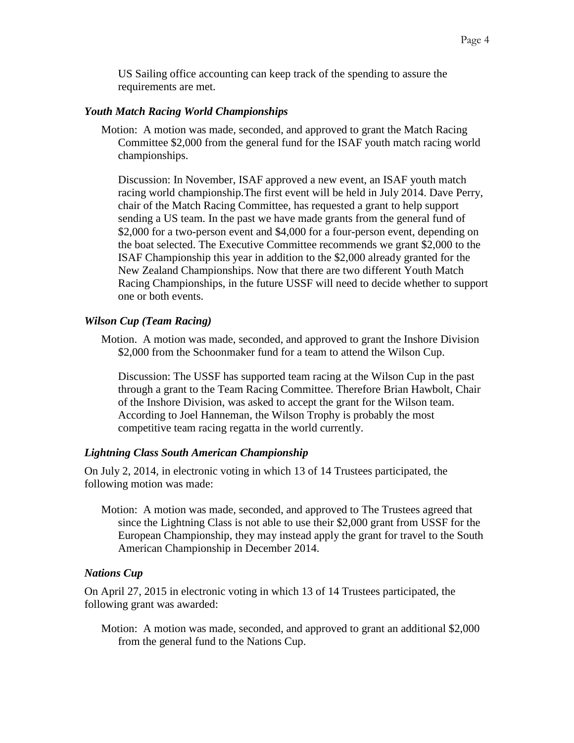US Sailing office accounting can keep track of the spending to assure the requirements are met.

#### *Youth Match Racing World Championships*

Motion: A motion was made, seconded, and approved to grant the Match Racing Committee \$2,000 from the general fund for the ISAF youth match racing world championships.

Discussion: In November, ISAF approved a new event, an ISAF youth match racing world championship.The first event will be held in July 2014. Dave Perry, chair of the Match Racing Committee, has requested a grant to help support sending a US team. In the past we have made grants from the general fund of \$2,000 for a two-person event and \$4,000 for a four-person event, depending on the boat selected. The Executive Committee recommends we grant \$2,000 to the ISAF Championship this year in addition to the \$2,000 already granted for the New Zealand Championships. Now that there are two different Youth Match Racing Championships, in the future USSF will need to decide whether to support one or both events.

### *Wilson Cup (Team Racing)*

Motion. A motion was made, seconded, and approved to grant the Inshore Division \$2,000 from the Schoonmaker fund for a team to attend the Wilson Cup.

Discussion: The USSF has supported team racing at the Wilson Cup in the past through a grant to the Team Racing Committee. Therefore Brian Hawbolt, Chair of the Inshore Division, was asked to accept the grant for the Wilson team. According to Joel Hanneman, the Wilson Trophy is probably the most competitive team racing regatta in the world currently.

### *Lightning Class South American Championship*

On July 2, 2014, in electronic voting in which 13 of 14 Trustees participated, the following motion was made:

Motion: A motion was made, seconded, and approved to The Trustees agreed that since the Lightning Class is not able to use their \$2,000 grant from USSF for the European Championship, they may instead apply the grant for travel to the South American Championship in December 2014.

### *Nations Cup*

On April 27, 2015 in electronic voting in which 13 of 14 Trustees participated, the following grant was awarded:

Motion: A motion was made, seconded, and approved to grant an additional \$2,000 from the general fund to the Nations Cup.